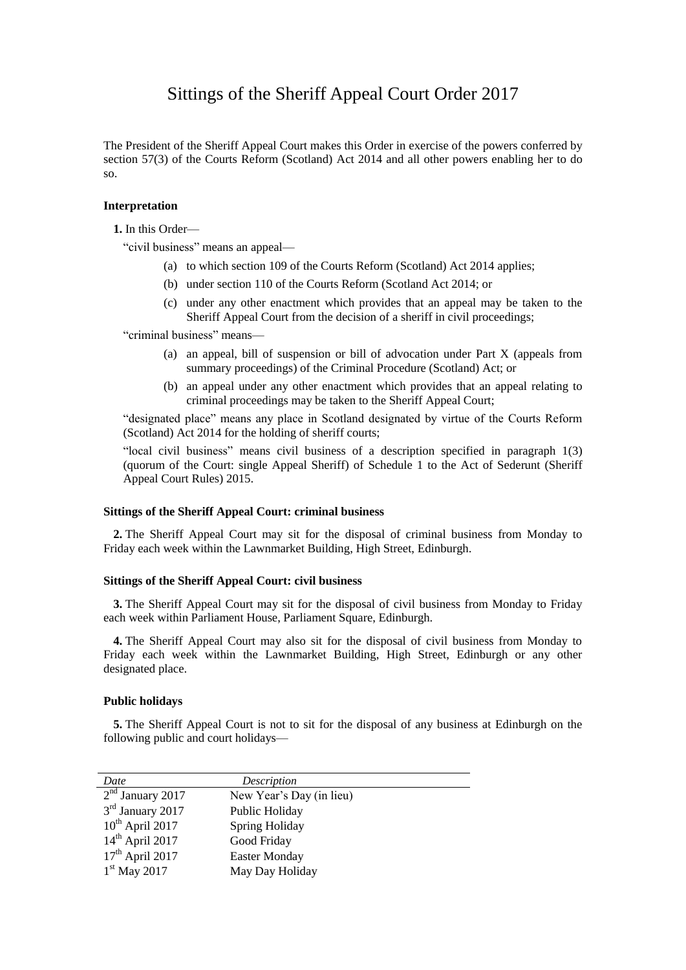# Sittings of the Sheriff Appeal Court Order 2017

The President of the Sheriff Appeal Court makes this Order in exercise of the powers conferred by section 57(3) of the Courts Reform (Scotland) Act 2014 and all other powers enabling her to do so.

#### **Interpretation**

**1.** In this Order—

"civil business" means an appeal—

- (a) to which section 109 of the Courts Reform (Scotland) Act 2014 applies;
- (b) under section 110 of the Courts Reform (Scotland Act 2014; or
- (c) under any other enactment which provides that an appeal may be taken to the Sheriff Appeal Court from the decision of a sheriff in civil proceedings;

"criminal business" means—

- (a) an appeal, bill of suspension or bill of advocation under Part X (appeals from summary proceedings) of the Criminal Procedure (Scotland) Act; or
- (b) an appeal under any other enactment which provides that an appeal relating to criminal proceedings may be taken to the Sheriff Appeal Court;

"designated place" means any place in Scotland designated by virtue of the Courts Reform (Scotland) Act 2014 for the holding of sheriff courts;

"local civil business" means civil business of a description specified in paragraph 1(3) (quorum of the Court: single Appeal Sheriff) of Schedule 1 to the Act of Sederunt (Sheriff Appeal Court Rules) 2015.

### **Sittings of the Sheriff Appeal Court: criminal business**

**2.** The Sheriff Appeal Court may sit for the disposal of criminal business from Monday to Friday each week within the Lawnmarket Building, High Street, Edinburgh.

#### **Sittings of the Sheriff Appeal Court: civil business**

**3.** The Sheriff Appeal Court may sit for the disposal of civil business from Monday to Friday each week within Parliament House, Parliament Square, Edinburgh.

**4.** The Sheriff Appeal Court may also sit for the disposal of civil business from Monday to Friday each week within the Lawnmarket Building, High Street, Edinburgh or any other designated place.

#### **Public holidays**

**5.** The Sheriff Appeal Court is not to sit for the disposal of any business at Edinburgh on the following public and court holidays—

| Date                         | Description              |  |
|------------------------------|--------------------------|--|
| $2nd$ January 2017           | New Year's Day (in lieu) |  |
| 3 <sup>rd</sup> January 2017 | Public Holiday           |  |
| $10^{th}$ April 2017         | Spring Holiday           |  |
| $14th$ April 2017            | Good Friday              |  |
| $17th$ April 2017            | <b>Easter Monday</b>     |  |
| $1st$ May 2017               | May Day Holiday          |  |